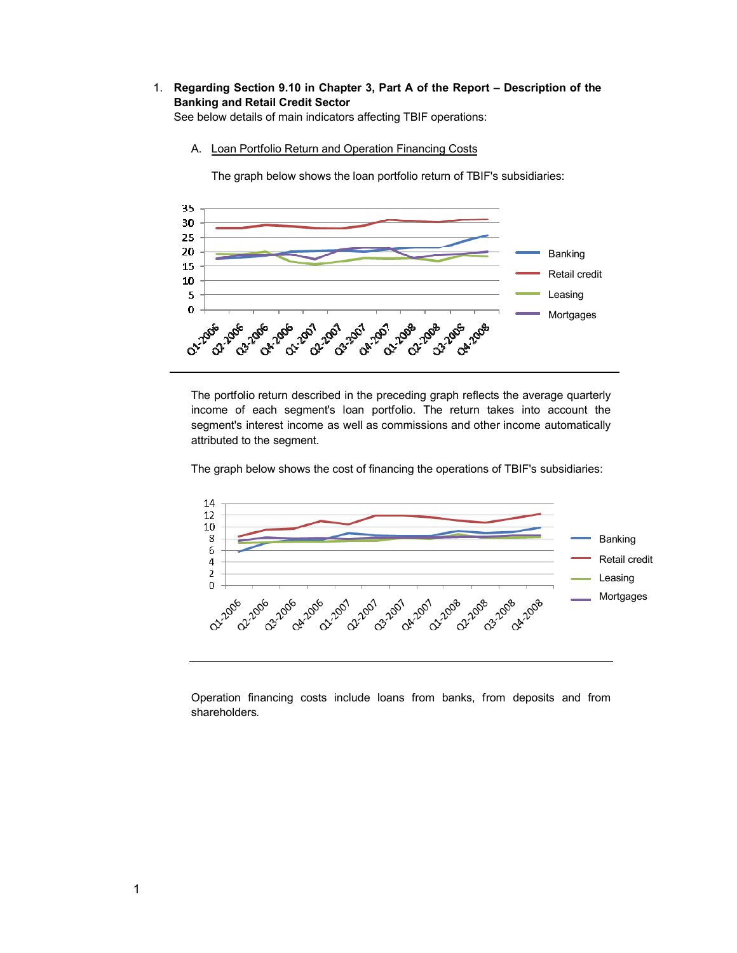# 1. **Regarding Section 9.10 in Chapter 3, Part A of the Report – Description of the Banking and Retail Credit Sector**

See below details of main indicators affecting TBIF operations:

A. Loan Portfolio Return and Operation Financing Costs

The graph below shows the loan portfolio return of TBIF's subsidiaries:



The portfolio return described in the preceding graph reflects the average quarterly income of each segment's loan portfolio. The return takes into account the segment's interest income as well as commissions and other income automatically attributed to the segment.

The graph below shows the cost of financing the operations of TBIF's subsidiaries:



Operation financing costs include loans from banks, from deposits and from shareholders.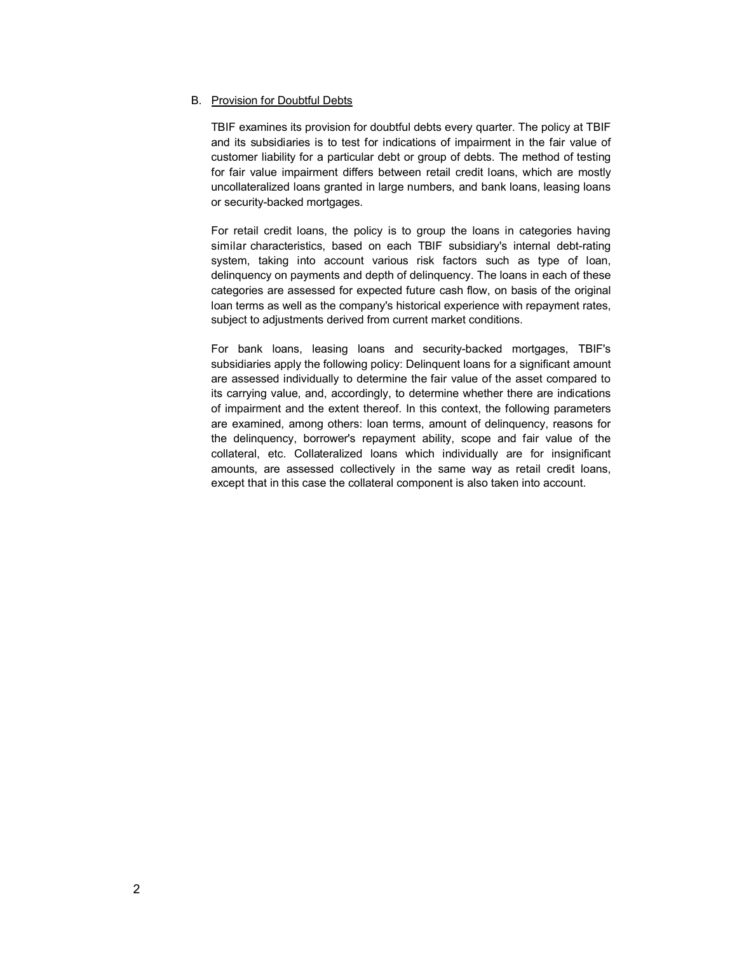### B. Provision for Doubtful Debts

TBIF examines its provision for doubtful debts every quarter. The policy at TBIF and its subsidiaries is to test for indications of impairment in the fair value of customer liability for a particular debt or group of debts. The method of testing for fair value impairment differs between retail credit loans, which are mostly uncollateralized loans granted in large numbers, and bank loans, leasing loans or security-backed mortgages.

For retail credit loans, the policy is to group the loans in categories having similar characteristics, based on each TBIF subsidiary's internal debt-rating system, taking into account various risk factors such as type of loan, delinquency on payments and depth of delinquency. The loans in each of these categories are assessed for expected future cash flow, on basis of the original loan terms as well as the company's historical experience with repayment rates, subject to adjustments derived from current market conditions.

For bank loans, leasing loans and security-backed mortgages, TBIF's subsidiaries apply the following policy: Delinquent loans for a significant amount are assessed individually to determine the fair value of the asset compared to its carrying value, and, accordingly, to determine whether there are indications of impairment and the extent thereof. In this context, the following parameters are examined, among others: loan terms, amount of delinquency, reasons for the delinquency, borrower's repayment ability, scope and fair value of the collateral, etc. Collateralized loans which individually are for insignificant amounts, are assessed collectively in the same way as retail credit loans, except that in this case the collateral component is also taken into account.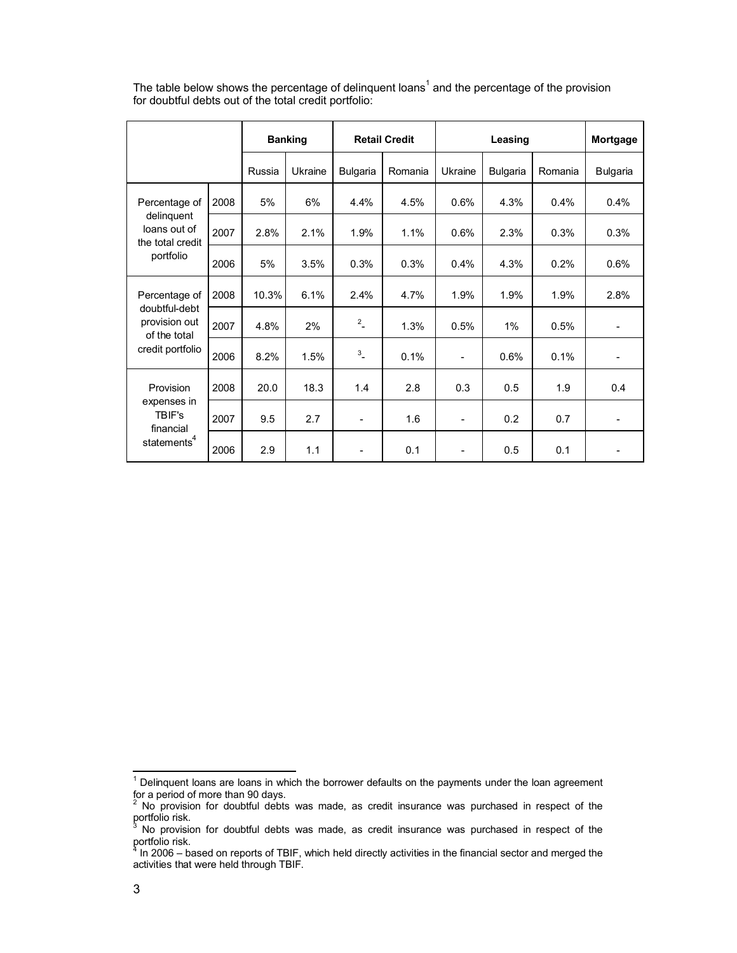|                                                                                     |      | <b>Banking</b> |         | <b>Retail Credit</b> |         | Leasing                  |                 |         | Mortgage        |
|-------------------------------------------------------------------------------------|------|----------------|---------|----------------------|---------|--------------------------|-----------------|---------|-----------------|
|                                                                                     |      | Russia         | Ukraine | <b>Bulgaria</b>      | Romania | Ukraine                  | <b>Bulgaria</b> | Romania | <b>Bulgaria</b> |
| Percentage of<br>delinguent<br>loans out of<br>the total credit<br>portfolio        | 2008 | 5%             | 6%      | 4.4%                 | 4.5%    | 0.6%                     | 4.3%            | 0.4%    | 0.4%            |
|                                                                                     | 2007 | 2.8%           | 2.1%    | 1.9%                 | 1.1%    | 0.6%                     | 2.3%            | 0.3%    | 0.3%            |
|                                                                                     | 2006 | 5%             | 3.5%    | 0.3%                 | 0.3%    | 0.4%                     | 4.3%            | 0.2%    | 0.6%            |
| Percentage of<br>doubtful-debt<br>provision out<br>of the total<br>credit portfolio | 2008 | 10.3%          | 6.1%    | 2.4%                 | 4.7%    | 1.9%                     | 1.9%            | 1.9%    | 2.8%            |
|                                                                                     | 2007 | 4.8%           | 2%      | $2 \overline{a}$     | 1.3%    | 0.5%                     | 1%              | 0.5%    |                 |
|                                                                                     | 2006 | 8.2%           | 1.5%    | $3\overline{a}$      | 0.1%    | $\overline{\phantom{a}}$ | 0.6%            | 0.1%    |                 |
| Provision<br>expenses in<br>TBIF's<br>financial<br>statements <sup>4</sup>          | 2008 | 20.0           | 18.3    | 1.4                  | 2.8     | 0.3                      | 0.5             | 1.9     | 0.4             |
|                                                                                     | 2007 | 9.5            | 2.7     | $\blacksquare$       | 1.6     | $\overline{\phantom{0}}$ | 0.2             | 0.7     | $\blacksquare$  |
|                                                                                     | 2006 | 2.9            | 1.1     |                      | 0.1     | $\overline{\phantom{0}}$ | 0.5             | 0.1     |                 |

The table below shows the percentage of delinquent loans<sup>1</sup> and the percentage of the provision for doubtful debts out of the total credit portfolio:

l

 $<sup>1</sup>$  Delinquent loans are loans in which the borrower defaults on the payments under the loan agreement</sup>

for a period of more than 90 days.<br><sup>2</sup> No provision for doubtful debts was made, as credit insurance was purchased in respect of the portfolio risk.

<sup>3</sup> No provision for doubtful debts was made, as credit insurance was purchased in respect of the portfolio risk.<br><sup>4</sup> ln 2006 - h

 $^4$  In 2006 – based on reports of TBIF, which held directly activities in the financial sector and merged the activities that were held through TBIF.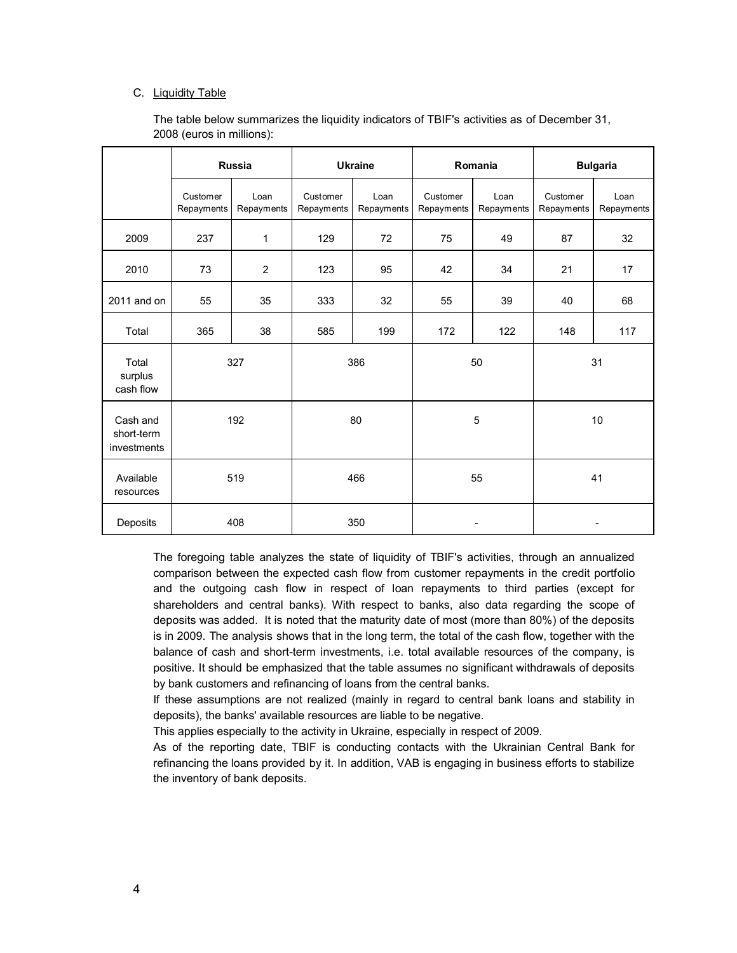## C. Liquidity Table

|                                       | <b>Russia</b>          |                    |                        | <b>Ukraine</b>     | Romania                |                    | <b>Bulgaria</b>        |                    |
|---------------------------------------|------------------------|--------------------|------------------------|--------------------|------------------------|--------------------|------------------------|--------------------|
|                                       | Customer<br>Repayments | Loan<br>Repayments | Customer<br>Repayments | Loan<br>Repayments | Customer<br>Repayments | Loan<br>Repayments | Customer<br>Repayments | Loan<br>Repayments |
| 2009                                  | 237                    | 1                  | 129                    | 72                 | 75                     | 49                 | 87                     | 32                 |
| 2010                                  | 73                     | $\overline{c}$     | 123                    | 95                 | 42                     | 34                 | 21                     | 17                 |
| $2011$ and on                         | 55                     | 35                 | 333                    | 32                 | 55                     | 39                 | 40                     | 68                 |
| Total                                 | 365                    | 38                 | 585                    | 199                | 172                    | 122                | 148                    | 117                |
| Total<br>surplus<br>cash flow         | 327                    |                    | 386                    |                    | 50                     |                    | 31                     |                    |
| Cash and<br>short-term<br>investments | 192                    |                    | 80                     |                    | 5                      |                    | 10                     |                    |
| Available<br>resources                | 519                    |                    |                        | 466                | 55                     |                    | 41                     |                    |
| Deposits                              | 408                    |                    | 350                    |                    |                        | -                  |                        | -                  |

The table below summarizes the liquidity indicators of TBIF's activities as of December 31, 2008 (euros in millions):

The foregoing table analyzes the state of liquidity of TBIF's activities, through an annualized comparison between the expected cash flow from customer repayments in the credit portfolio and the outgoing cash flow in respect of loan repayments to third parties (except for shareholders and central banks). With respect to banks, also data regarding the scope of deposits was added. It is noted that the maturity date of most (more than 80%) of the deposits is in 2009. The analysis shows that in the long term, the total of the cash flow, together with the balance of cash and short-term investments, i.e. total available resources of the company, is positive. It should be emphasized that the table assumes no significant withdrawals of deposits by bank customers and refinancing of loans from the central banks.

If these assumptions are not realized (mainly in regard to central bank loans and stability in deposits), the banks' available resources are liable to be negative.

This applies especially to the activity in Ukraine, especially in respect of 2009.

As of the reporting date, TBIF is conducting contacts with the Ukrainian Central Bank for refinancing the loans provided by it. In addition, VAB is engaging in business efforts to stabilize the inventory of bank deposits.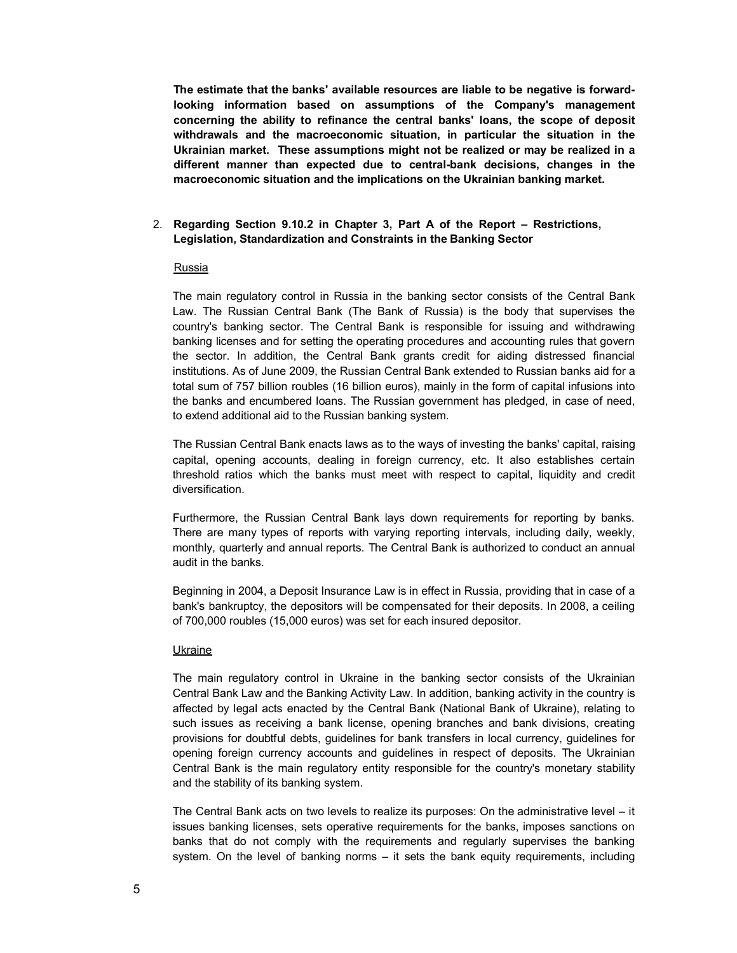**The estimate that the banks' available resources are liable to be negative is forwardlooking information based on assumptions of the Company's management concerning the ability to refinance the central banks' loans, the scope of deposit withdrawals and the macroeconomic situation, in particular the situation in the Ukrainian market. These assumptions might not be realized or may be realized in a different manner than expected due to central-bank decisions, changes in the macroeconomic situation and the implications on the Ukrainian banking market.**

## 2. **Regarding Section 9.10.2 in Chapter 3, Part A of the Report – Restrictions, Legislation, Standardization and Constraints in the Banking Sector**

#### Russia

The main regulatory control in Russia in the banking sector consists of the Central Bank Law. The Russian Central Bank (The Bank of Russia) is the body that supervises the country's banking sector. The Central Bank is responsible for issuing and withdrawing banking licenses and for setting the operating procedures and accounting rules that govern the sector. In addition, the Central Bank grants credit for aiding distressed financial institutions. As of June 2009, the Russian Central Bank extended to Russian banks aid for a total sum of 757 billion roubles (16 billion euros), mainly in the form of capital infusions into the banks and encumbered loans. The Russian government has pledged, in case of need, to extend additional aid to the Russian banking system.

The Russian Central Bank enacts laws as to the ways of investing the banks' capital, raising capital, opening accounts, dealing in foreign currency, etc. It also establishes certain threshold ratios which the banks must meet with respect to capital, liquidity and credit diversification.

Furthermore, the Russian Central Bank lays down requirements for reporting by banks. There are many types of reports with varying reporting intervals, including daily, weekly, monthly, quarterly and annual reports. The Central Bank is authorized to conduct an annual audit in the banks.

Beginning in 2004, a Deposit Insurance Law is in effect in Russia, providing that in case of a bank's bankruptcy, the depositors will be compensated for their deposits. In 2008, a ceiling of 700,000 roubles (15,000 euros) was set for each insured depositor.

#### **Ukraine**

The main regulatory control in Ukraine in the banking sector consists of the Ukrainian Central Bank Law and the Banking Activity Law. In addition, banking activity in the country is affected by legal acts enacted by the Central Bank (National Bank of Ukraine), relating to such issues as receiving a bank license, opening branches and bank divisions, creating provisions for doubtful debts, guidelines for bank transfers in local currency, guidelines for opening foreign currency accounts and guidelines in respect of deposits. The Ukrainian Central Bank is the main regulatory entity responsible for the country's monetary stability and the stability of its banking system.

The Central Bank acts on two levels to realize its purposes: On the administrative level – it issues banking licenses, sets operative requirements for the banks, imposes sanctions on banks that do not comply with the requirements and regularly supervises the banking system. On the level of banking norms – it sets the bank equity requirements, including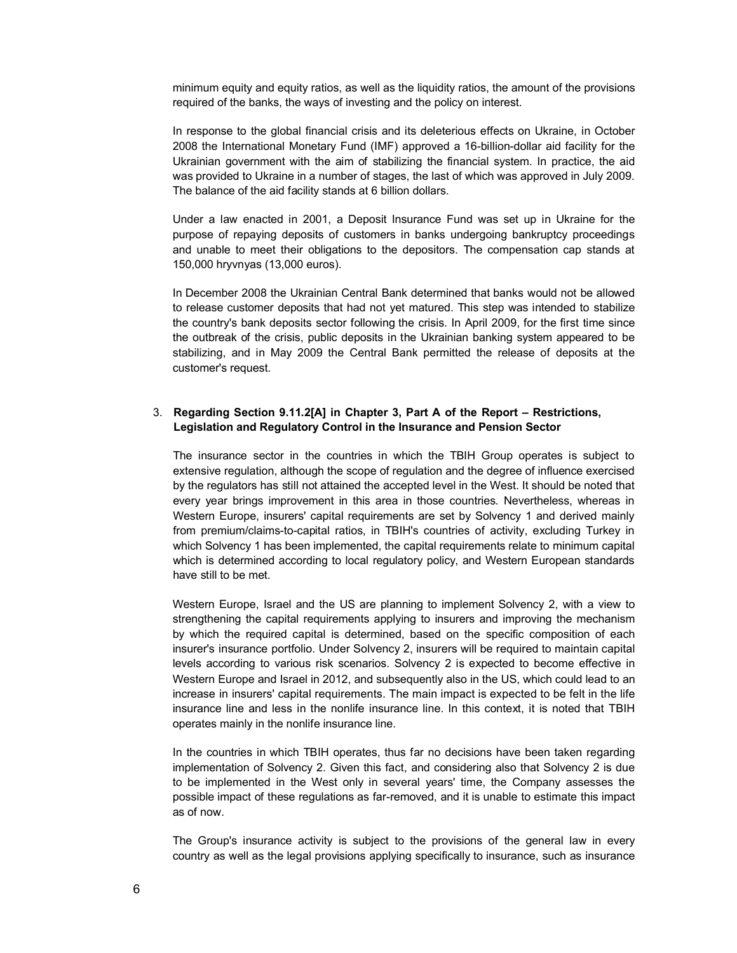minimum equity and equity ratios, as well as the liquidity ratios, the amount of the provisions required of the banks, the ways of investing and the policy on interest.

In response to the global financial crisis and its deleterious effects on Ukraine, in October 2008 the International Monetary Fund (IMF) approved a 16-billion-dollar aid facility for the Ukrainian government with the aim of stabilizing the financial system. In practice, the aid was provided to Ukraine in a number of stages, the last of which was approved in July 2009. The balance of the aid facility stands at 6 billion dollars.

Under a law enacted in 2001, a Deposit Insurance Fund was set up in Ukraine for the purpose of repaying deposits of customers in banks undergoing bankruptcy proceedings and unable to meet their obligations to the depositors. The compensation cap stands at 150,000 hryvnyas (13,000 euros).

In December 2008 the Ukrainian Central Bank determined that banks would not be allowed to release customer deposits that had not yet matured. This step was intended to stabilize the country's bank deposits sector following the crisis. In April 2009, for the first time since the outbreak of the crisis, public deposits in the Ukrainian banking system appeared to be stabilizing, and in May 2009 the Central Bank permitted the release of deposits at the customer's request.

# 3. **Regarding Section 9.11.2[A] in Chapter 3, Part A of the Report – Restrictions, Legislation and Regulatory Control in the Insurance and Pension Sector**

The insurance sector in the countries in which the TBIH Group operates is subject to extensive regulation, although the scope of regulation and the degree of influence exercised by the regulators has still not attained the accepted level in the West. It should be noted that every year brings improvement in this area in those countries. Nevertheless, whereas in Western Europe, insurers' capital requirements are set by Solvency 1 and derived mainly from premium/claims-to-capital ratios, in TBIH's countries of activity, excluding Turkey in which Solvency 1 has been implemented, the capital requirements relate to minimum capital which is determined according to local regulatory policy, and Western European standards have still to be met.

Western Europe, Israel and the US are planning to implement Solvency 2, with a view to strengthening the capital requirements applying to insurers and improving the mechanism by which the required capital is determined, based on the specific composition of each insurer's insurance portfolio. Under Solvency 2, insurers will be required to maintain capital levels according to various risk scenarios. Solvency 2 is expected to become effective in Western Europe and Israel in 2012, and subsequently also in the US, which could lead to an increase in insurers' capital requirements. The main impact is expected to be felt in the life insurance line and less in the nonlife insurance line. In this context, it is noted that TBIH operates mainly in the nonlife insurance line.

In the countries in which TBIH operates, thus far no decisions have been taken regarding implementation of Solvency 2. Given this fact, and considering also that Solvency 2 is due to be implemented in the West only in several years' time, the Company assesses the possible impact of these regulations as far-removed, and it is unable to estimate this impact as of now.

The Group's insurance activity is subject to the provisions of the general law in every country as well as the legal provisions applying specifically to insurance, such as insurance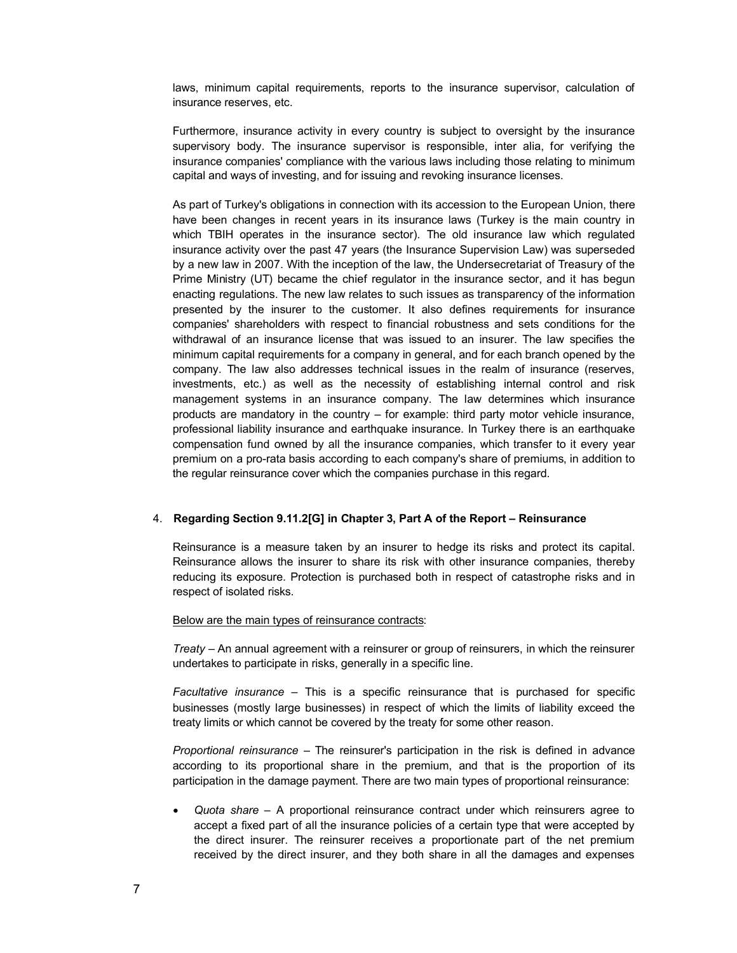laws, minimum capital requirements, reports to the insurance supervisor, calculation of insurance reserves, etc.

Furthermore, insurance activity in every country is subject to oversight by the insurance supervisory body. The insurance supervisor is responsible, inter alia, for verifying the insurance companies' compliance with the various laws including those relating to minimum capital and ways of investing, and for issuing and revoking insurance licenses.

As part of Turkey's obligations in connection with its accession to the European Union, there have been changes in recent years in its insurance laws (Turkey is the main country in which TBIH operates in the insurance sector). The old insurance law which regulated insurance activity over the past 47 years (the Insurance Supervision Law) was superseded by a new law in 2007. With the inception of the law, the Undersecretariat of Treasury of the Prime Ministry (UT) became the chief regulator in the insurance sector, and it has begun enacting regulations. The new law relates to such issues as transparency of the information presented by the insurer to the customer. It also defines requirements for insurance companies' shareholders with respect to financial robustness and sets conditions for the withdrawal of an insurance license that was issued to an insurer. The law specifies the minimum capital requirements for a company in general, and for each branch opened by the company. The law also addresses technical issues in the realm of insurance (reserves, investments, etc.) as well as the necessity of establishing internal control and risk management systems in an insurance company. The law determines which insurance products are mandatory in the country – for example: third party motor vehicle insurance, professional liability insurance and earthquake insurance. In Turkey there is an earthquake compensation fund owned by all the insurance companies, which transfer to it every year premium on a pro-rata basis according to each company's share of premiums, in addition to the regular reinsurance cover which the companies purchase in this regard.

## 4. **Regarding Section 9.11.2[G] in Chapter 3, Part A of the Report – Reinsurance**

Reinsurance is a measure taken by an insurer to hedge its risks and protect its capital. Reinsurance allows the insurer to share its risk with other insurance companies, thereby reducing its exposure. Protection is purchased both in respect of catastrophe risks and in respect of isolated risks.

## Below are the main types of reinsurance contracts:

*Treaty* – An annual agreement with a reinsurer or group of reinsurers, in which the reinsurer undertakes to participate in risks, generally in a specific line.

*Facultative insurance* – This is a specific reinsurance that is purchased for specific businesses (mostly large businesses) in respect of which the limits of liability exceed the treaty limits or which cannot be covered by the treaty for some other reason.

*Proportional reinsurance* – The reinsurer's participation in the risk is defined in advance according to its proportional share in the premium, and that is the proportion of its participation in the damage payment. There are two main types of proportional reinsurance:

 *Quota share* – A proportional reinsurance contract under which reinsurers agree to accept a fixed part of all the insurance policies of a certain type that were accepted by the direct insurer. The reinsurer receives a proportionate part of the net premium received by the direct insurer, and they both share in all the damages and expenses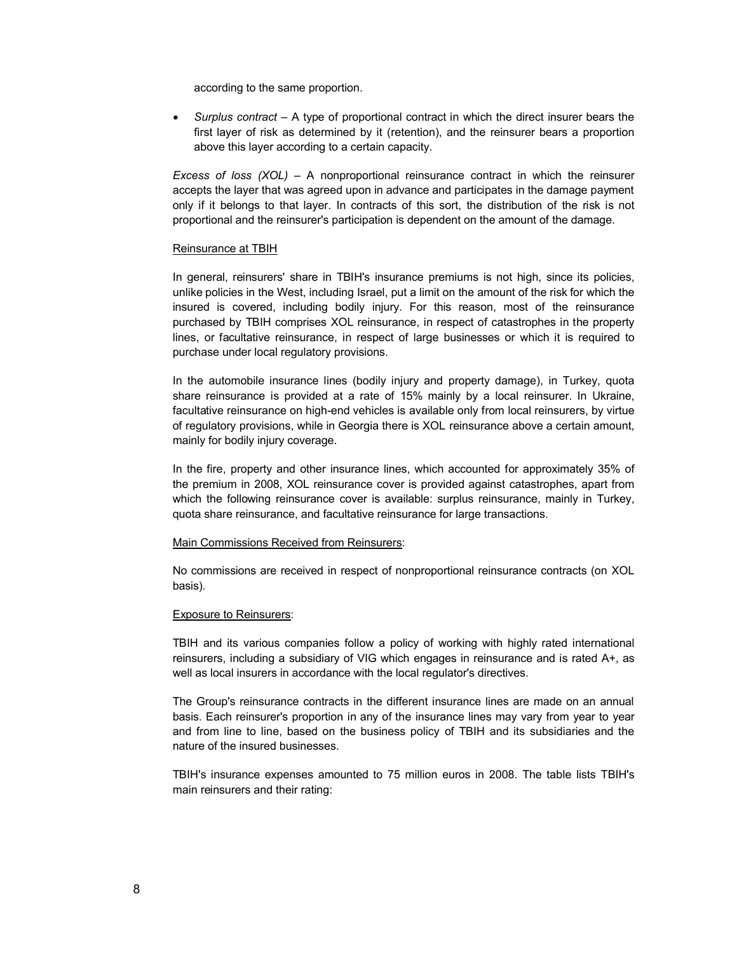according to the same proportion.

 *Surplus contract* – A type of proportional contract in which the direct insurer bears the first layer of risk as determined by it (retention), and the reinsurer bears a proportion above this layer according to a certain capacity.

*Excess of loss (XOL)* – A nonproportional reinsurance contract in which the reinsurer accepts the layer that was agreed upon in advance and participates in the damage payment only if it belongs to that layer. In contracts of this sort, the distribution of the risk is not proportional and the reinsurer's participation is dependent on the amount of the damage.

## Reinsurance at TBIH

In general, reinsurers' share in TBIH's insurance premiums is not high, since its policies, unlike policies in the West, including Israel, put a limit on the amount of the risk for which the insured is covered, including bodily injury. For this reason, most of the reinsurance purchased by TBIH comprises XOL reinsurance, in respect of catastrophes in the property lines, or facultative reinsurance, in respect of large businesses or which it is required to purchase under local regulatory provisions.

In the automobile insurance lines (bodily injury and property damage), in Turkey, quota share reinsurance is provided at a rate of 15% mainly by a local reinsurer. In Ukraine, facultative reinsurance on high-end vehicles is available only from local reinsurers, by virtue of regulatory provisions, while in Georgia there is XOL reinsurance above a certain amount, mainly for bodily injury coverage.

In the fire, property and other insurance lines, which accounted for approximately 35% of the premium in 2008, XOL reinsurance cover is provided against catastrophes, apart from which the following reinsurance cover is available: surplus reinsurance, mainly in Turkey, quota share reinsurance, and facultative reinsurance for large transactions.

## Main Commissions Received from Reinsurers:

No commissions are received in respect of nonproportional reinsurance contracts (on XOL basis).

## Exposure to Reinsurers:

TBIH and its various companies follow a policy of working with highly rated international reinsurers, including a subsidiary of VIG which engages in reinsurance and is rated A+, as well as local insurers in accordance with the local regulator's directives.

The Group's reinsurance contracts in the different insurance lines are made on an annual basis. Each reinsurer's proportion in any of the insurance lines may vary from year to year and from line to line, based on the business policy of TBIH and its subsidiaries and the nature of the insured businesses.

TBIH's insurance expenses amounted to 75 million euros in 2008. The table lists TBIH's main reinsurers and their rating: